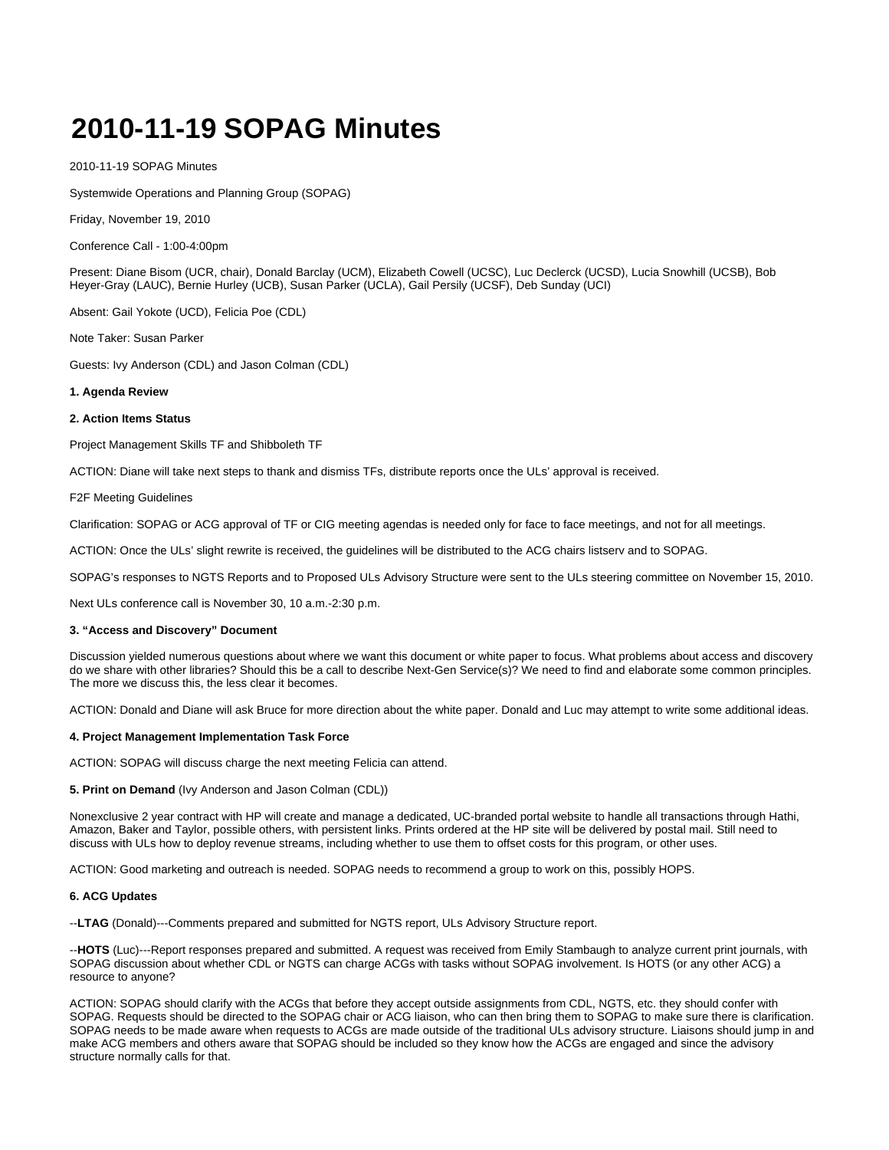# **2010-11-19 SOPAG Minutes**

2010-11-19 SOPAG Minutes

Systemwide Operations and Planning Group (SOPAG)

Friday, November 19, 2010

Conference Call - 1:00-4:00pm

Present: Diane Bisom (UCR, chair), Donald Barclay (UCM), Elizabeth Cowell (UCSC), Luc Declerck (UCSD), Lucia Snowhill (UCSB), Bob Heyer-Gray (LAUC), Bernie Hurley (UCB), Susan Parker (UCLA), Gail Persily (UCSF), Deb Sunday (UCI)

Absent: Gail Yokote (UCD), Felicia Poe (CDL)

Note Taker: Susan Parker

Guests: Ivy Anderson (CDL) and Jason Colman (CDL)

## **1. Agenda Review**

## **2. Action Items Status**

Project Management Skills TF and Shibboleth TF

ACTION: Diane will take next steps to thank and dismiss TFs, distribute reports once the ULs' approval is received.

F2F Meeting Guidelines

Clarification: SOPAG or ACG approval of TF or CIG meeting agendas is needed only for face to face meetings, and not for all meetings.

ACTION: Once the ULs' slight rewrite is received, the guidelines will be distributed to the ACG chairs listserv and to SOPAG.

SOPAG's responses to NGTS Reports and to Proposed ULs Advisory Structure were sent to the ULs steering committee on November 15, 2010.

Next ULs conference call is November 30, 10 a.m.-2:30 p.m.

#### **3. "Access and Discovery" Document**

Discussion yielded numerous questions about where we want this document or white paper to focus. What problems about access and discovery do we share with other libraries? Should this be a call to describe Next-Gen Service(s)? We need to find and elaborate some common principles. The more we discuss this, the less clear it becomes.

ACTION: Donald and Diane will ask Bruce for more direction about the white paper. Donald and Luc may attempt to write some additional ideas.

## **4. Project Management Implementation Task Force**

ACTION: SOPAG will discuss charge the next meeting Felicia can attend.

#### **5. Print on Demand** (Ivy Anderson and Jason Colman (CDL))

Nonexclusive 2 year contract with HP will create and manage a dedicated, UC-branded portal website to handle all transactions through Hathi, Amazon, Baker and Taylor, possible others, with persistent links. Prints ordered at the HP site will be delivered by postal mail. Still need to discuss with ULs how to deploy revenue streams, including whether to use them to offset costs for this program, or other uses.

ACTION: Good marketing and outreach is needed. SOPAG needs to recommend a group to work on this, possibly HOPS.

## **6. ACG Updates**

--**LTAG** (Donald)---Comments prepared and submitted for NGTS report, ULs Advisory Structure report.

--**HOTS** (Luc)---Report responses prepared and submitted. A request was received from Emily Stambaugh to analyze current print journals, with SOPAG discussion about whether CDL or NGTS can charge ACGs with tasks without SOPAG involvement. Is HOTS (or any other ACG) a resource to anyone?

ACTION: SOPAG should clarify with the ACGs that before they accept outside assignments from CDL, NGTS, etc. they should confer with SOPAG. Requests should be directed to the SOPAG chair or ACG liaison, who can then bring them to SOPAG to make sure there is clarification. SOPAG needs to be made aware when requests to ACGs are made outside of the traditional ULs advisory structure. Liaisons should jump in and make ACG members and others aware that SOPAG should be included so they know how the ACGs are engaged and since the advisory structure normally calls for that.